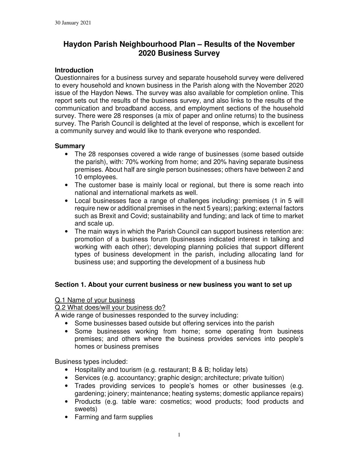# **Haydon Parish Neighbourhood Plan – Results of the November 2020 Business Survey**

### **Introduction**

Questionnaires for a business survey and separate household survey were delivered to every household and known business in the Parish along with the November 2020 issue of the Haydon News. The survey was also available for completion online. This report sets out the results of the business survey, and also links to the results of the communication and broadband access, and employment sections of the household survey. There were 28 responses (a mix of paper and online returns) to the business survey. The Parish Council is delighted at the level of response, which is excellent for a community survey and would like to thank everyone who responded.

### **Summary**

- The 28 responses covered a wide range of businesses (some based outside the parish), with: 70% working from home; and 20% having separate business premises. About half are single person businesses; others have between 2 and 10 employees.
- The customer base is mainly local or regional, but there is some reach into national and international markets as well.
- Local businesses face a range of challenges including: premises (1 in 5 will require new or additional premises in the next 5 years); parking; external factors such as Brexit and Covid; sustainability and funding; and lack of time to market and scale up.
- The main ways in which the Parish Council can support business retention are: promotion of a business forum (businesses indicated interest in talking and working with each other); developing planning policies that support different types of business development in the parish, including allocating land for business use; and supporting the development of a business hub

### **Section 1. About your current business or new business you want to set up**

### Q.1 Name of your business

Q.2 What does/will your business do?

A wide range of businesses responded to the survey including:

- Some businesses based outside but offering services into the parish
- Some businesses working from home; some operating from business premises; and others where the business provides services into people's homes or business premises

Business types included:

- Hospitality and tourism (e.g. restaurant; B & B; holiday lets)
- Services (e.g. accountancy; graphic design; architecture; private tuition)
- Trades providing services to people's homes or other businesses (e.g. gardening; joinery; maintenance; heating systems; domestic appliance repairs)
- Products (e.g. table ware: cosmetics; wood products; food products and sweets)
- Farming and farm supplies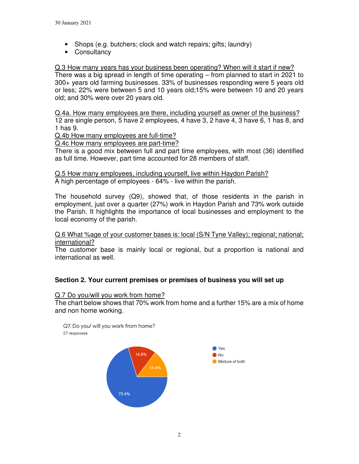- Shops (e.g. butchers; clock and watch repairs; gifts; laundry)
- Consultancy

Q.3 How many years has your business been operating? When will it start if new? There was a big spread in length of time operating – from planned to start in 2021 to 300+ years old farming businesses. 33% of businesses responding were 5 years old or less; 22% were between 5 and 10 years old;15% were between 10 and 20 years old; and 30% were over 20 years old.

Q.4a. How many employees are there, including yourself as owner of the business? 12 are single person, 5 have 2 employees, 4 have 3, 2 have 4, 3 have 6, 1 has 8, and 1 has 9.

Q.4b How many employees are full-time?

Q.4c How many employees are part-time?

There is a good mix between full and part time employees, with most (36) identified as full time. However, part time accounted for 28 members of staff.

Q.5 How many employees, including yourself, live within Haydon Parish? A high percentage of employees - 64% - live within the parish.

The household survey (Q9), showed that, of those residents in the parish in employment, just over a quarter (27%) work in Haydon Parish and 73% work outside the Parish. It highlights the importance of local businesses and employment to the local economy of the parish.

Q.6 What %age of your customer bases is: local (S/N Tyne Valley); regional; national; international?

The customer base is mainly local or regional, but a proportion is national and international as well.

### **Section 2. Your current premises or premises of business you will set up**

#### Q.7 Do you/will you work from home?

The chart below shows that 70% work from home and a further 15% are a mix of home and non home working.

Q7. Do you/ will you work from home? 27 responses

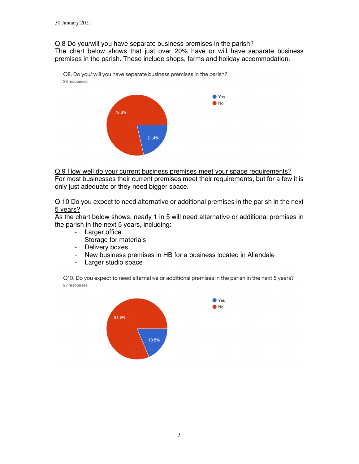### Q.8 Do you/will you have separate business premises in the parish?

The chart below shows that just over 20% have or will have separate business premises in the parish. These include shops, farms and holiday accommodation.

Q8. Do you/ will you have separate business premises in the parish? 28 responses



Q.9 How well do your current business premises meet your space requirements?

For most businesses their current premises meet their requirements, but for a few it is only just adequate or they need bigger space.

Q.10 Do you expect to need alternative or additional premises in the parish in the next 5 years?

As the chart below shows, nearly 1 in 5 will need alternative or additional premises in the parish in the next 5 years, including:

- Larger office
- Storage for materials
- Delivery boxes
- New business premises in HB for a business located in Allendale
- Larger studio space

Q10. Do you expect to need alternative or additional premises in the parish in the next 5 years? 27 responses

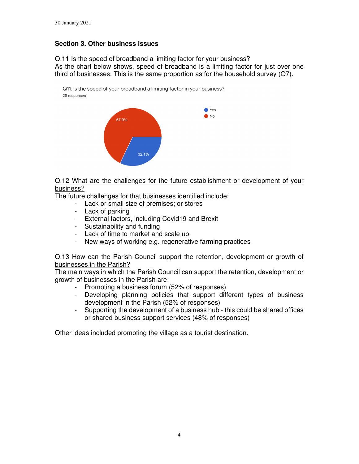## **Section 3. Other business issues**

Q.11 Is the speed of broadband a limiting factor for your business?

As the chart below shows, speed of broadband is a limiting factor for just over one third of businesses. This is the same proportion as for the household survey (Q7).

Q11. Is the speed of your broadband a limiting factor in your business? 28 responses



Q.12 What are the challenges for the future establishment or development of your business?

The future challenges for that businesses identified include:

- Lack or small size of premises; or stores
- Lack of parking
- External factors, including Covid19 and Brexit
- Sustainability and funding
- Lack of time to market and scale up
- New ways of working e.g. regenerative farming practices

Q.13 How can the Parish Council support the retention, development or growth of businesses in the Parish?

The main ways in which the Parish Council can support the retention, development or growth of businesses in the Parish are:

- Promoting a business forum (52% of responses)
- Developing planning policies that support different types of business development in the Parish (52% of responses)
- Supporting the development of a business hub this could be shared offices or shared business support services (48% of responses)

Other ideas included promoting the village as a tourist destination.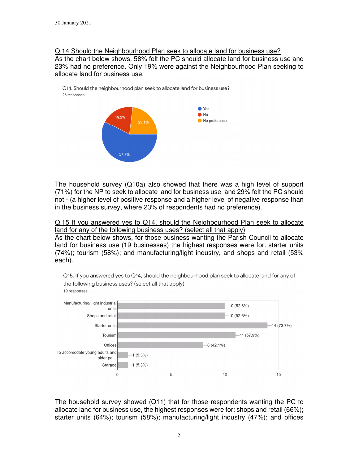### Q.14 Should the Neighbourhood Plan seek to allocate land for business use? As the chart below shows, 58% felt the PC should allocate land for business use and 23% had no preference. Only 19% were against the Neighbourhood Plan seeking to allocate land for business use.





The household survey (Q10a) also showed that there was a high level of support (71%) for the NP to seek to allocate land for business use and 29% felt the PC should not - (a higher level of positive response and a higher level of negative response than in the business survey, where 23% of respondents had no preference).

Q.15 If you answered yes to Q14, should the Neighbourhood Plan seek to allocate land for any of the following business uses? (select all that apply)

As the chart below shows, for those business wanting the Parish Council to allocate land for business use (19 businesses) the highest responses were for: starter units (74%); tourism (58%); and manufacturing/light industry, and shops and retail (53% each).



Q15. If you answered yes to Q14, should the neighbourhood plan seek to allocate land for any of the following business uses? (select all that apply) 19 responses

The household survey showed (Q11) that for those respondents wanting the PC to allocate land for business use, the highest responses were for: shops and retail (66%); starter units (64%); tourism (58%); manufacturing/light industry (47%); and offices